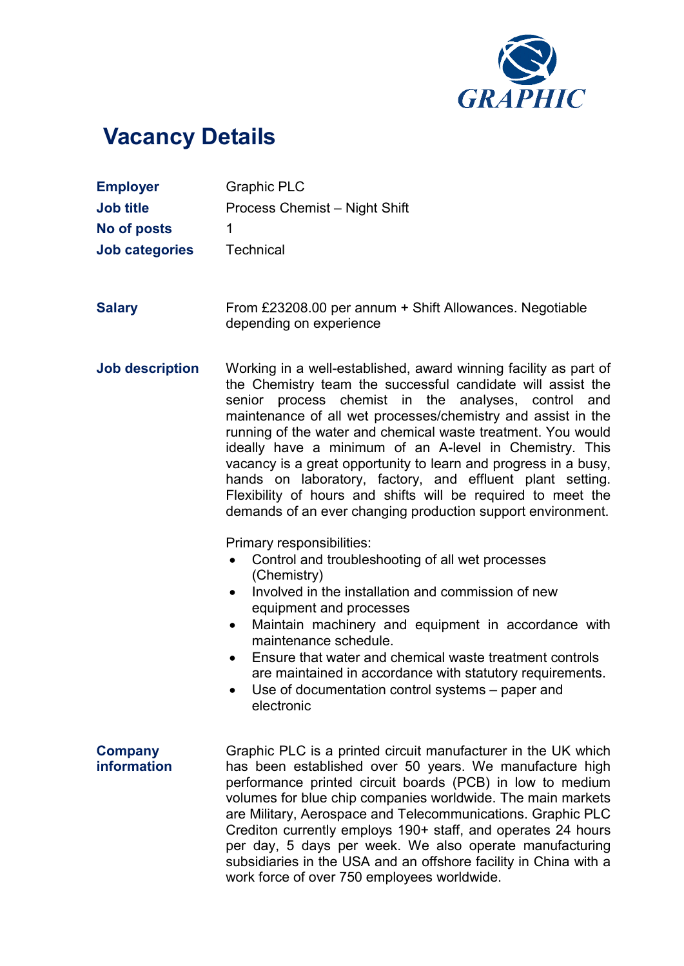

## Vacancy Details

| <b>Employer</b><br><b>Job title</b><br>No of posts<br><b>Job categories</b> | <b>Graphic PLC</b><br>Process Chemist - Night Shift<br>1<br>Technical                                                                                                                                                                                                                                                                                                                                                                                                                                                                                                                                                                            |
|-----------------------------------------------------------------------------|--------------------------------------------------------------------------------------------------------------------------------------------------------------------------------------------------------------------------------------------------------------------------------------------------------------------------------------------------------------------------------------------------------------------------------------------------------------------------------------------------------------------------------------------------------------------------------------------------------------------------------------------------|
| <b>Salary</b>                                                               | From £23208.00 per annum + Shift Allowances. Negotiable<br>depending on experience                                                                                                                                                                                                                                                                                                                                                                                                                                                                                                                                                               |
| <b>Job description</b>                                                      | Working in a well-established, award winning facility as part of<br>the Chemistry team the successful candidate will assist the<br>senior process chemist in the analyses, control and<br>maintenance of all wet processes/chemistry and assist in the<br>running of the water and chemical waste treatment. You would<br>ideally have a minimum of an A-level in Chemistry. This<br>vacancy is a great opportunity to learn and progress in a busy,<br>hands on laboratory, factory, and effluent plant setting.<br>Flexibility of hours and shifts will be required to meet the<br>demands of an ever changing production support environment. |
|                                                                             | Primary responsibilities:<br>Control and troubleshooting of all wet processes<br>(Chemistry)<br>Involved in the installation and commission of new<br>equipment and processes<br>Maintain machinery and equipment in accordance with<br>$\bullet$<br>maintenance schedule.<br>Ensure that water and chemical waste treatment controls<br>$\bullet$<br>are maintained in accordance with statutory requirements.<br>Use of documentation control systems - paper and<br>electronic                                                                                                                                                                |
| <b>Company</b><br>information                                               | Graphic PLC is a printed circuit manufacturer in the UK which<br>has been established over 50 years. We manufacture high<br>performance printed circuit boards (PCB) in low to medium<br>volumes for blue chip companies worldwide. The main markets<br>are Military, Aerospace and Telecommunications. Graphic PLC<br>Crediton currently employs 190+ staff, and operates 24 hours<br>per day, 5 days per week. We also operate manufacturing<br>subsidiaries in the USA and an offshore facility in China with a<br>work force of over 750 employees worldwide.                                                                                |